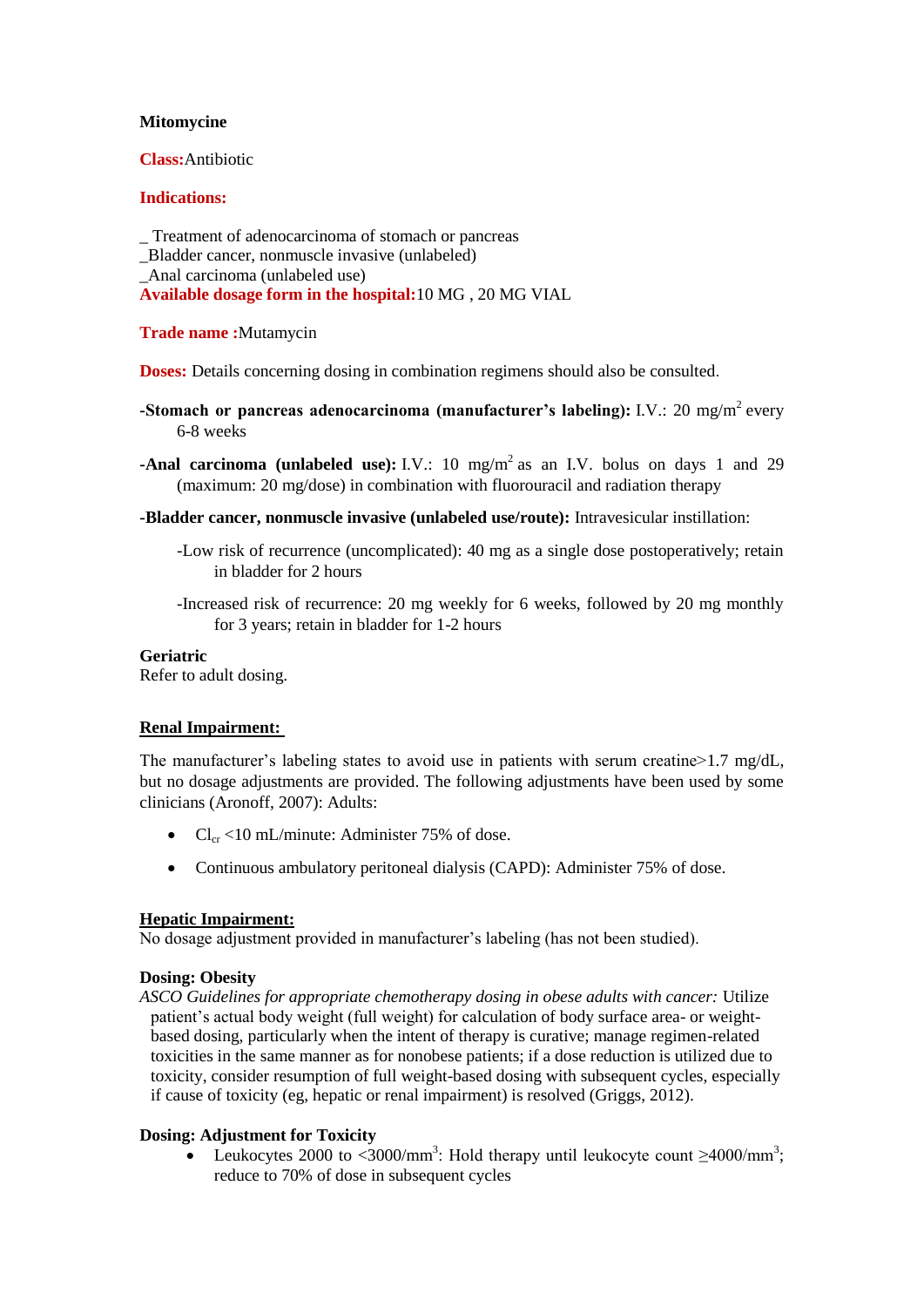# **Mitomycine**

# **Class:**Antibiotic

#### **Indications:**

\_ Treatment of adenocarcinoma of stomach or pancreas \_Bladder cancer, nonmuscle invasive (unlabeled) \_Anal carcinoma (unlabeled use) **Available dosage form in the hospital:**10 MG , 20 MG VIAL

#### **Trade name :**Mutamycin

**Doses:** Details concerning dosing in combination regimens should also be consulted.

- **-Stomach or pancreas adenocarcinoma (manufacturer's labeling):** I.V.: 20 mg/m<sup>2</sup> every 6-8 weeks
- **-Anal carcinoma (unlabeled use):** I.V.: 10  $mg/m^2$  as an I.V. bolus on days 1 and 29 (maximum: 20 mg/dose) in combination with fluorouracil and radiation therapy
- **-Bladder cancer, nonmuscle invasive (unlabeled use/route):** Intravesicular instillation:
	- -Low risk of recurrence (uncomplicated): 40 mg as a single dose postoperatively; retain in bladder for 2 hours
	- -Increased risk of recurrence: 20 mg weekly for 6 weeks, followed by 20 mg monthly for 3 years; retain in bladder for 1-2 hours

#### **Geriatric**

Refer to adult dosing.

# **Renal Impairment:**

The manufacturer's labeling states to avoid use in patients with serum creatine>1.7 mg/dL, but no dosage adjustments are provided. The following adjustments have been used by some clinicians (Aronoff, 2007): Adults:

- $Cl_{cr}$  <10 mL/minute: Administer 75% of dose.
- Continuous ambulatory peritoneal dialysis (CAPD): Administer 75% of dose.

# **Hepatic Impairment:**

No dosage adjustment provided in manufacturer's labeling (has not been studied).

# **Dosing: Obesity**

*ASCO Guidelines for appropriate chemotherapy dosing in obese adults with cancer:* Utilize patient's actual body weight (full weight) for calculation of body surface area- or weightbased dosing, particularly when the intent of therapy is curative; manage regimen-related toxicities in the same manner as for nonobese patients; if a dose reduction is utilized due to toxicity, consider resumption of full weight-based dosing with subsequent cycles, especially if cause of toxicity (eg, hepatic or renal impairment) is resolved (Griggs, 2012).

# **Dosing: Adjustment for Toxicity**

• Leukocytes 2000 to <3000/mm<sup>3</sup>: Hold therapy until leukocyte count  $\geq$ 4000/mm<sup>3</sup>; reduce to 70% of dose in subsequent cycles